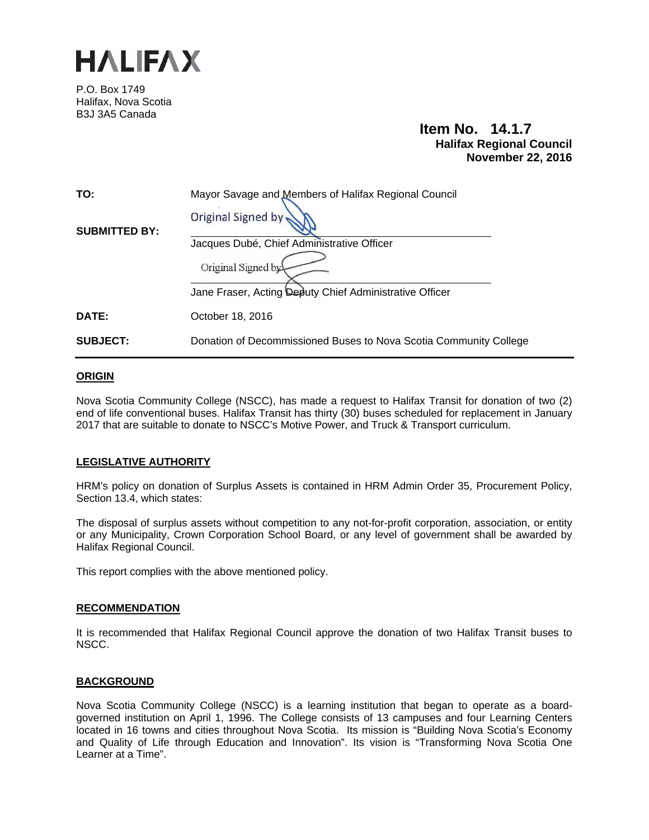

P.O. Box 1749 Halifax, Nova Scotia B3J 3A5 Canada

# **Item No. 14.1.7 Halifax Regional Council November 22, 2016**

| TO:                  | Mayor Savage and Members of Halifax Regional Council              |
|----------------------|-------------------------------------------------------------------|
|                      | Original Signed by                                                |
| <b>SUBMITTED BY:</b> | Jacques Dubé, Chief Administrative Officer                        |
|                      | Original Signed by                                                |
|                      | Jane Fraser, Acting Deputy Chief Administrative Officer           |
| DATE:                | October 18, 2016                                                  |
| <b>SUBJECT:</b>      | Donation of Decommissioned Buses to Nova Scotia Community College |

## **ORIGIN**

Nova Scotia Community College (NSCC), has made a request to Halifax Transit for donation of two (2) end of life conventional buses. Halifax Transit has thirty (30) buses scheduled for replacement in January 2017 that are suitable to donate to NSCC's Motive Power, and Truck & Transport curriculum.

### **LEGISLATIVE AUTHORITY**

HRM's policy on donation of Surplus Assets is contained in HRM Admin Order 35, Procurement Policy, Section 13.4, which states:

The disposal of surplus assets without competition to any not-for-profit corporation, association, or entity or any Municipality, Crown Corporation School Board, or any level of government shall be awarded by Halifax Regional Council.

This report complies with the above mentioned policy.

#### **RECOMMENDATION**

It is recommended that Halifax Regional Council approve the donation of two Halifax Transit buses to NSCC.

### **BACKGROUND**

Nova Scotia Community College (NSCC) is a learning institution that began to operate as a boardgoverned institution on April 1, 1996. The College consists of 13 campuses and four Learning Centers located in 16 towns and cities throughout Nova Scotia. Its mission is "Building Nova Scotia's Economy and Quality of Life through Education and Innovation". Its vision is "Transforming Nova Scotia One Learner at a Time".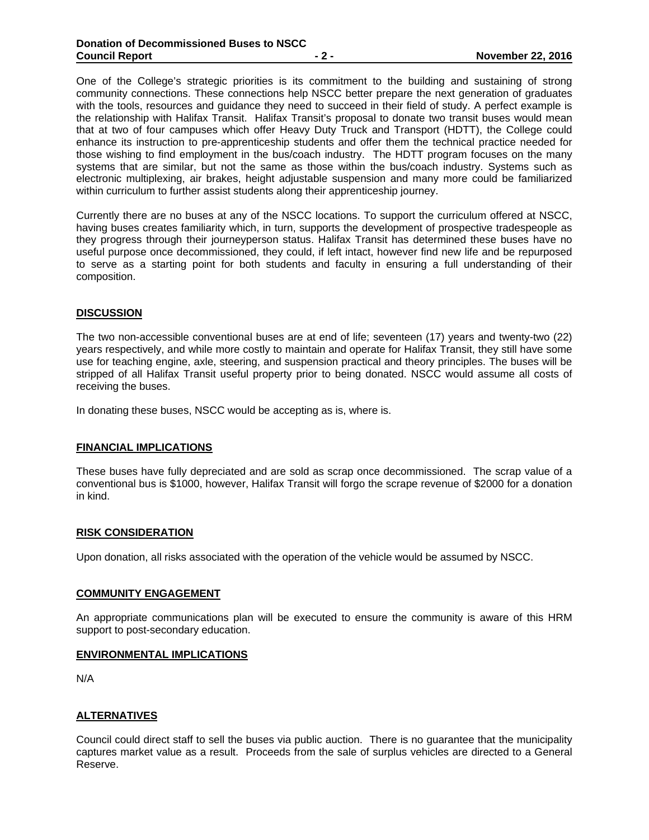One of the College's strategic priorities is its commitment to the building and sustaining of strong community connections. These connections help NSCC better prepare the next generation of graduates with the tools, resources and guidance they need to succeed in their field of study. A perfect example is the relationship with Halifax Transit. Halifax Transit's proposal to donate two transit buses would mean that at two of four campuses which offer Heavy Duty Truck and Transport (HDTT), the College could enhance its instruction to pre-apprenticeship students and offer them the technical practice needed for those wishing to find employment in the bus/coach industry. The HDTT program focuses on the many systems that are similar, but not the same as those within the bus/coach industry. Systems such as electronic multiplexing, air brakes, height adjustable suspension and many more could be familiarized within curriculum to further assist students along their apprenticeship journey.

Currently there are no buses at any of the NSCC locations. To support the curriculum offered at NSCC, having buses creates familiarity which, in turn, supports the development of prospective tradespeople as they progress through their journeyperson status. Halifax Transit has determined these buses have no useful purpose once decommissioned, they could, if left intact, however find new life and be repurposed to serve as a starting point for both students and faculty in ensuring a full understanding of their composition.

## **DISCUSSION**

The two non-accessible conventional buses are at end of life; seventeen (17) years and twenty-two (22) years respectively, and while more costly to maintain and operate for Halifax Transit, they still have some use for teaching engine, axle, steering, and suspension practical and theory principles. The buses will be stripped of all Halifax Transit useful property prior to being donated. NSCC would assume all costs of receiving the buses.

In donating these buses, NSCC would be accepting as is, where is.

### **FINANCIAL IMPLICATIONS**

These buses have fully depreciated and are sold as scrap once decommissioned. The scrap value of a conventional bus is \$1000, however, Halifax Transit will forgo the scrape revenue of \$2000 for a donation in kind.

### **RISK CONSIDERATION**

Upon donation, all risks associated with the operation of the vehicle would be assumed by NSCC.

### **COMMUNITY ENGAGEMENT**

An appropriate communications plan will be executed to ensure the community is aware of this HRM support to post-secondary education.

#### **ENVIRONMENTAL IMPLICATIONS**

N/A

### **ALTERNATIVES**

Council could direct staff to sell the buses via public auction. There is no guarantee that the municipality captures market value as a result. Proceeds from the sale of surplus vehicles are directed to a General Reserve.